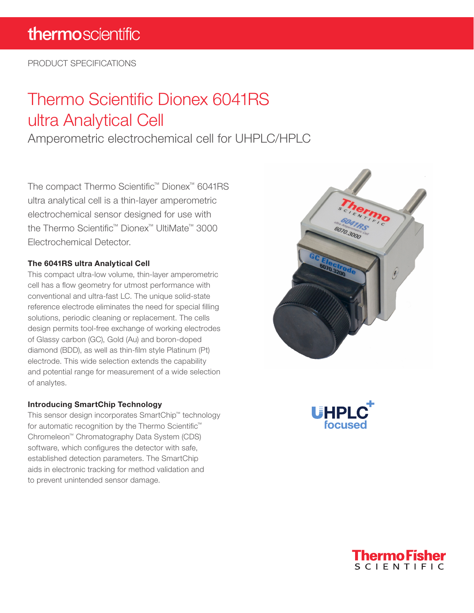PRODUCT SPECIFICATIONS

# Thermo Scientific Dionex 6041RS ultra Analytical Cell

Amperometric electrochemical cell for UHPLC/HPLC

The compact Thermo Scientific™ Dionex™ 6041RS ultra analytical cell is a thin-layer amperometric electrochemical sensor designed for use with the Thermo Scientific™ Dionex™ UltiMate™ 3000 Electrochemical Detector.

### The 6041RS ultra Analytical Cell

This compact ultra-low volume, thin-layer amperometric cell has a flow geometry for utmost performance with conventional and ultra-fast LC. The unique solid-state reference electrode eliminates the need for special filling solutions, periodic cleaning or replacement. The cells design permits tool-free exchange of working electrodes of Glassy carbon (GC), Gold (Au) and boron-doped diamond (BDD), as well as thin-film style Platinum (Pt) electrode. This wide selection extends the capability and potential range for measurement of a wide selection of analytes.

#### Introducing SmartChip Technology

This sensor design incorporates SmartChip™ technology for automatic recognition by the Thermo Scientific™ Chromeleon™ Chromatography Data System (CDS) software, which configures the detector with safe, established detection parameters. The SmartChip aids in electronic tracking for method validation and to prevent unintended sensor damage.